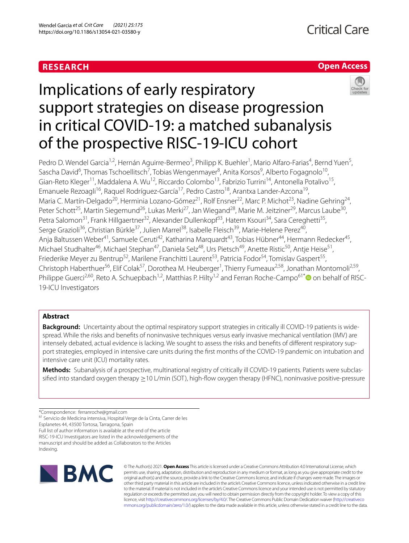# **RESEARCH**

# **Open Access**



# Implications of early respiratory support strategies on disease progression in critical COVID-19: a matched subanalysis of the prospective RISC-19-ICU cohort

Pedro D. Wendel Garcia<sup>1,2</sup>, Hernán Aguirre-Bermeo<sup>3</sup>, Philipp K. Buehler<sup>1</sup>, Mario Alfaro-Farias<sup>4</sup>, Bernd Yuen<sup>5</sup>, Sascha David<sup>6</sup>, Thomas Tschoellitsch<sup>7</sup>, Tobias Wengenmayer<sup>8</sup>, Anita Korsos<sup>9</sup>, Alberto Fogagnolo<sup>10</sup>, Gian-Reto Kleger<sup>11</sup>, Maddalena A. Wu<sup>12</sup>, Riccardo Colombo<sup>13</sup>, Fabrizio Turrini<sup>14</sup>, Antonella Potalivo<sup>15</sup>, Emanuele Rezoagli<sup>16</sup>, Raguel Rodríguez-García<sup>17</sup>, Pedro Castro<sup>18</sup>, Arantxa Lander-Azcona<sup>19</sup>, Maria C. Martín-Delgado<sup>20</sup>, Herminia Lozano-Gómez<sup>21</sup>, Rolf Ensner<sup>22</sup>, Marc P. Michot<sup>23</sup>, Nadine Gehring<sup>24</sup>, Peter Schott<sup>25</sup>, Martin Siegemund<sup>26</sup>, Lukas Merki<sup>27</sup>, Jan Wiegand<sup>28</sup>, Marie M. Jeitziner<sup>29</sup>, Marcus Laube<sup>30</sup>, Petra Salomon<sup>31</sup>, Frank Hillgaertner<sup>32</sup>, Alexander Dullenkopf<sup>33</sup>, Hatem Ksouri<sup>34</sup>, Sara Cereghetti<sup>35</sup>, Serge Grazioli<sup>36</sup>, Christian Bürkle<sup>37</sup>, Julien Marrel<sup>38</sup>, Isabelle Fleisch<sup>39</sup>, Marie-Helene Perez<sup>40</sup>, Anja Baltussen Weber<sup>41</sup>, Samuele Ceruti<sup>42</sup>, Katharina Marquardt<sup>43</sup>, Tobias Hübner<sup>44</sup>, Hermann Redecker<sup>45</sup>, Michael Studhalter<sup>46</sup>, Michael Stephan<sup>47</sup>, Daniela Selz<sup>48</sup>, Urs Pietsch<sup>49</sup>, Anette Ristic<sup>50</sup>, Antje Heise<sup>51</sup>, Friederike Meyer zu Bentrup<sup>52</sup>, Marilene Franchitti Laurent<sup>53</sup>, Patricia Fodor<sup>54</sup>, Tomislav Gaspert<sup>55</sup>, Christoph Haberthuer<sup>56</sup>, Elif Colak<sup>57</sup>, Dorothea M. Heuberger<sup>1</sup>, Thierry Fumeaux<sup>2,58</sup>, Jonathan Montomoli<sup>2,59</sup>, Philippe Guerci<sup>2,60</sup>, Reto A. Schuepbach<sup>1,2</sup>, Matthias P. Hilty<sup>1,2</sup> and Ferran Roche-Campo<sup>61[\\*](http://orcid.org/0000-0002-4330-1706)</sup> on behalf of RISC-19-ICU Investigators

# **Abstract**

**Background:** Uncertainty about the optimal respiratory support strategies in critically ill COVID-19 patients is widespread. While the risks and benefts of noninvasive techniques versus early invasive mechanical ventilation (IMV) are intensely debated, actual evidence is lacking. We sought to assess the risks and benefits of different respiratory support strategies, employed in intensive care units during the frst months of the COVID-19 pandemic on intubation and intensive care unit (ICU) mortality rates.

Methods: Subanalysis of a prospective, multinational registry of critically ill COVID-19 patients. Patients were subclassified into standard oxygen therapy ≥10 L/min (SOT), high-flow oxygen therapy (HFNC), noninvasive positive-pressure

\*Correspondence: ferranroche@gmail.com

Esplanetes 44, 43500 Tortosa, Tarragona, Spain

Full list of author information is available at the end of the article

RISC-19-ICU Investigators are listed in the acknowledgements of the manuscript and should be added as Collaborators to the Articles

Indexing.



© The Author(s) 2021. **Open Access** This article is licensed under a Creative Commons Attribution 4.0 International License, which permits use, sharing, adaptation, distribution and reproduction in any medium or format, as long as you give appropriate credit to the original author(s) and the source, provide a link to the Creative Commons licence, and indicate if changes were made. The images or other third party material in this article are included in the article's Creative Commons licence, unless indicated otherwise in a credit line to the material. If material is not included in the article's Creative Commons licence and your intended use is not permitted by statutory regulation or exceeds the permitted use, you will need to obtain permission directly from the copyright holder. To view a copy of this licence, visit [http://creativecommons.org/licenses/by/4.0/.](http://creativecommons.org/licenses/by/4.0/) The Creative Commons Public Domain Dedication waiver ([http://creativeco](http://creativecommons.org/publicdomain/zero/1.0/) [mmons.org/publicdomain/zero/1.0/](http://creativecommons.org/publicdomain/zero/1.0/)) applies to the data made available in this article, unless otherwise stated in a credit line to the data.

<sup>61</sup> Servicio de Medicina intensiva, Hospital Verge de la Cinta, Carrer de les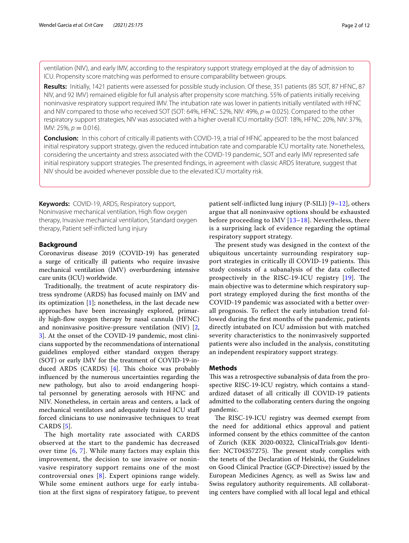ventilation (NIV), and early IMV, according to the respiratory support strategy employed at the day of admission to ICU. Propensity score matching was performed to ensure comparability between groups.

**Results:** Initially, 1421 patients were assessed for possible study inclusion. Of these, 351 patients (85 SOT, 87 HFNC, 87 NIV, and 92 IMV) remained eligible for full analysis after propensity score matching. 55% of patients initially receiving noninvasive respiratory support required IMV. The intubation rate was lower in patients initially ventilated with HFNC and NIV compared to those who received SOT (SOT: 64%, HFNC: 52%, NIV: 49%,  $p = 0.025$ ). Compared to the other respiratory support strategies, NIV was associated with a higher overall ICU mortality (SOT: 18%, HFNC: 20%, NIV: 37%,  $IMV: 25\%$ ,  $p = 0.016$ ).

**Conclusion:** In this cohort of critically ill patients with COVID-19, a trial of HFNC appeared to be the most balanced initial respiratory support strategy, given the reduced intubation rate and comparable ICU mortality rate. Nonetheless, considering the uncertainty and stress associated with the COVID-19 pandemic, SOT and early IMV represented safe initial respiratory support strategies. The presented fndings, in agreement with classic ARDS literature, suggest that NIV should be avoided whenever possible due to the elevated ICU mortality risk.

**Keywords:** COVID-19, ARDS, Respiratory support, Noninvasive mechanical ventilation, High flow oxygen therapy, Invasive mechanical ventilation, Standard oxygen therapy, Patient self-inficted lung injury

## **Background**

Coronavirus disease 2019 (COVID-19) has generated a surge of critically ill patients who require invasive mechanical ventilation (IMV) overburdening intensive care units (ICU) worldwide.

Traditionally, the treatment of acute respiratory distress syndrome (ARDS) has focused mainly on IMV and its optimization  $[1]$  $[1]$ ; nonetheless, in the last decade new approaches have been increasingly explored, primarily high-fow oxygen therapy by nasal cannula (HFNC) and noninvasive positive-pressure ventilation (NIV) [\[2](#page-10-1), [3\]](#page-10-2). At the onset of the COVID-19 pandemic, most clinicians supported by the recommendations of international guidelines employed either standard oxygen therapy (SOT) or early IMV for the treatment of COVID-19-induced ARDS (CARDS)  $[4]$  $[4]$ . This choice was probably infuenced by the numerous uncertainties regarding the new pathology, but also to avoid endangering hospital personnel by generating aerosols with HFNC and NIV. Nonetheless, in certain areas and centers, a lack of mechanical ventilators and adequately trained ICU staf forced clinicians to use noninvasive techniques to treat CARDS [[5\]](#page-10-4).

The high mortality rate associated with CARDS observed at the start to the pandemic has decreased over time  $[6, 7]$  $[6, 7]$  $[6, 7]$  $[6, 7]$  $[6, 7]$ . While many factors may explain this improvement, the decision to use invasive or noninvasive respiratory support remains one of the most controversial ones [[8](#page-10-7)]. Expert opinions range widely. While some eminent authors urge for early intubation at the first signs of respiratory fatigue, to prevent

patient self-inflicted lung injury (P-SILI) [\[9](#page-10-8)[–12\]](#page-10-9), others argue that all noninvasive options should be exhausted before proceeding to IMV  $[13-18]$  $[13-18]$  $[13-18]$ . Nevertheless, there is a surprising lack of evidence regarding the optimal respiratory support strategy.

The present study was designed in the context of the ubiquitous uncertainty surrounding respiratory support strategies in critically ill COVID-19 patients. This study consists of a subanalysis of the data collected prospectively in the RISC-[19](#page-10-12)-ICU registry  $[19]$ . The main objective was to determine which respiratory support strategy employed during the frst months of the COVID-19 pandemic was associated with a better overall prognosis. To refect the early intubation trend followed during the frst months of the pandemic, patients directly intubated on ICU admission but with matched severity characteristics to the noninvasively supported patients were also included in the analysis, constituting an independent respiratory support strategy.

# **Methods**

This was a retrospective subanalysis of data from the prospective RISC-19-ICU registry, which contains a standardized dataset of all critically ill COVID-19 patients admitted to the collaborating centers during the ongoing pandemic.

The RISC-19-ICU registry was deemed exempt from the need for additional ethics approval and patient informed consent by the ethics committee of the canton of Zurich (KEK 2020-00322, ClinicalTrials.gov Identifier: NCT04357275). The present study complies with the tenets of the Declaration of Helsinki, the Guidelines on Good Clinical Practice (GCP-Directive) issued by the European Medicines Agency, as well as Swiss law and Swiss regulatory authority requirements. All collaborating centers have complied with all local legal and ethical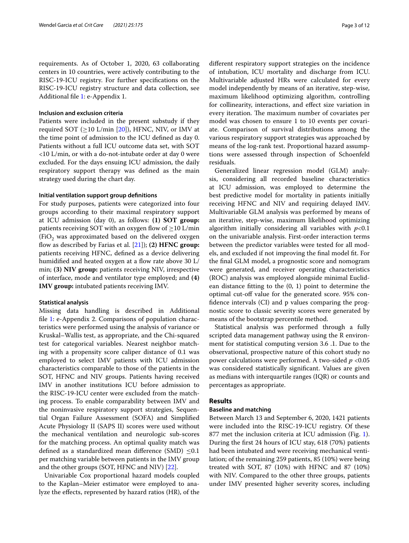requirements. As of October 1, 2020, 63 collaborating centers in 10 countries, were actively contributing to the RISC-19-ICU registry. For further specifcations on the RISC-19-ICU registry structure and data collection, see Additional fle [1](#page-9-0): e-Appendix 1.

## **Inclusion and exclusion criteria**

Patients were included in the present substudy if they required SOT ( $\geq$ 10 L/min [\[20](#page-10-13)]), HFNC, NIV, or IMV at the time point of admission to the ICU defned as day 0. Patients without a full ICU outcome data set, with SOT <10 L/min, or with a do-not-intubate order at day 0 were excluded. For the days ensuing ICU admission, the daily respiratory support therapy was defned as the main strategy used during the chart day.

#### **Initial ventilation support group defnitions**

For study purposes, patients were categorized into four groups according to their maximal respiratory support at ICU admission (day 0), as follows: **(1) SOT group:** patients receiving SOT with an oxygen flow of  $\geq$ 10 L/min  $(FiO<sub>2</sub>)$  was approximated based on the delivered oxygen fow as described by Farias et al. [[21\]](#page-10-14)); **(2) HFNC group:** patients receiving HFNC, defned as a device delivering humidified and heated oxygen at a flow rate above 30 L/ min; **(3) NIV group:** patients receiving NIV, irrespective of interface, mode and ventilator type employed; and **(4) IMV group:** intubated patients receiving IMV.

#### **Statistical analysis**

Missing data handling is described in Additional fle [1](#page-9-0): e-Appendix 2. Comparisons of population characteristics were performed using the analysis of variance or Kruskal–Wallis test, as appropriate, and the Chi-squared test for categorical variables. Nearest neighbor matching with a propensity score caliper distance of 0.1 was employed to select IMV patients with ICU admission characteristics comparable to those of the patients in the SOT, HFNC and NIV groups. Patients having received IMV in another institutions ICU before admission to the RISC-19-ICU center were excluded from the matching process. To enable comparability between IMV and the noninvasive respiratory support strategies, Sequential Organ Failure Assessment (SOFA) and Simplifed Acute Physiology II (SAPS II) scores were used without the mechanical ventilation and neurologic sub-scores for the matching process. An optimal quality match was defined as a standardized mean difference (SMD)  $\leq 0.1$ per matching variable between patients in the IMV group and the other groups (SOT, HFNC and NIV) [\[22](#page-10-15)].

Univariable Cox proportional hazard models coupled to the Kaplan–Meier estimator were employed to analyze the efects, represented by hazard ratios (HR), of the diferent respiratory support strategies on the incidence of intubation, ICU mortality and discharge from ICU. Multivariable adjusted HRs were calculated for every model independently by means of an iterative, step-wise, maximum likelihood optimizing algorithm, controlling for collinearity, interactions, and efect size variation in every iteration. The maximum number of covariates per model was chosen to ensure 1 to 10 events per covariate. Comparison of survival distributions among the various respiratory support strategies was approached by means of the log-rank test. Proportional hazard assumptions were assessed through inspection of Schoenfeld residuals.

Generalized linear regression model (GLM) analysis, considering all recorded baseline characteristics at ICU admission, was employed to determine the best predictive model for mortality in patients initially receiving HFNC and NIV and requiring delayed IMV. Multivariable GLM analysis was performed by means of an iterative, step-wise, maximum likelihood optimizing algorithm initially considering all variables with *p*<0.1 on the univariable analysis. First-order interaction terms between the predictor variables were tested for all models, and excluded if not improving the fnal model ft. For the fnal GLM model, a prognostic score and nomogram were generated, and receiver operating characteristics (ROC) analysis was employed alongside minimal Euclidean distance ftting to the (0, 1) point to determine the optimal cut-of value for the generated score. 95% confdence intervals (CI) and p values comparing the prognostic score to classic severity scores were generated by means of the bootstrap percentile method.

Statistical analysis was performed through a fully scripted data management pathway using the R environment for statistical computing version 3.6 .1. Due to the observational, prospective nature of this cohort study no power calculations were performed. A two-sided *p* <0.05 was considered statistically signifcant. Values are given as medians with interquartile ranges (IQR) or counts and percentages as appropriate.

# **Results**

# **Baseline and matching**

Between March 13 and September 6, 2020, 1421 patients were included into the RISC-19-ICU registry. Of these 877 met the inclusion criteria at ICU admission (Fig. [1](#page-3-0)). During the frst 24 hours of ICU stay, 618 (70%) patients had been intubated and were receiving mechanical ventilation; of the remaining 259 patients, 85 (10%) were being treated with SOT, 87 (10%) with HFNC and 87 (10%) with NIV. Compared to the other three groups, patients under IMV presented higher severity scores, including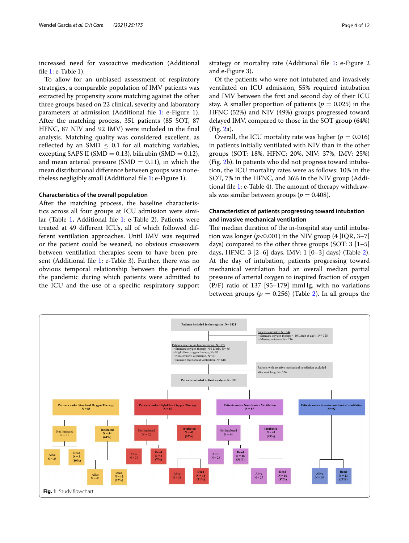increased need for vasoactive medication (Additional fle [1](#page-9-0): e-Table 1).

To allow for an unbiased assessment of respiratory strategies, a comparable population of IMV patients was extracted by propensity score matching against the other three groups based on 22 clinical, severity and laboratory parameters at admission (Additional fle [1:](#page-9-0) e-Figure 1). After the matching process, 351 patients (85 SOT, 87 HFNC, 87 NIV and 92 IMV) were included in the fnal analysis. Matching quality was considered excellent, as reflected by an SMD  $\leq$  0.1 for all matching variables, excepting SAPS II (SMD =  $0.13$ ), bilirubin (SMD =  $0.12$ ), and mean arterial pressure (SMD =  $0.11$ ), in which the mean distributional diference between groups was nonetheless negligibly small (Additional fle [1](#page-9-0): e-Figure 1).

#### **Characteristics of the overall population**

After the matching process, the baseline characteristics across all four groups at ICU admission were simi-lar (Table [1,](#page-4-0) Additional file [1](#page-9-0): e-Table 2). Patients were treated at 49 diferent ICUs, all of which followed different ventilation approaches. Until IMV was required or the patient could be weaned, no obvious crossovers between ventilation therapies seem to have been present (Additional fle [1:](#page-9-0) e-Table 3). Further, there was no obvious temporal relationship between the period of the pandemic during which patients were admitted to the ICU and the use of a specifc respiratory support

Of the patients who were not intubated and invasively ventilated on ICU admission, 55% required intubation and IMV between the frst and second day of their ICU stay. A smaller proportion of patients ( $p = 0.025$ ) in the HFNC (52%) and NIV (49%) groups progressed toward delayed IMV, compared to those in the SOT group (64%) (Fig. [2a](#page-6-0)).

Overall, the ICU mortality rate was higher ( $p = 0.016$ ) in patients initially ventilated with NIV than in the other groups (SOT: 18%, HFNC: 20%, NIV: 37%, IMV: 25%) (Fig. [2b](#page-6-0)). In patients who did not progress toward intubation, the ICU mortality rates were as follows: 10% in the SOT, 7% in the HFNC, and 36% in the NIV group (Additional file  $1$ : e-Table 4). The amount of therapy withdrawals was similar between groups ( $p = 0.408$ ).

# **Characteristics of patients progressing toward intubation and invasive mechanical ventilation**

The median duration of the in-hospital stay until intubation was longer  $(p<0.001)$  in the NIV group  $(4 [IQR, 3-7])$ days) compared to the other three groups  $(SOT: 3 \mid 1-5)$ days, HFNC: 3 [2–6] days, IMV: 1 [0–3] days) (Table [2](#page-5-0)). At the day of intubation, patients progressing toward mechanical ventilation had an overall median partial pressure of arterial oxygen to inspired fraction of oxygen (P/F) ratio of 137 [95–179] mmHg, with no variations between groups ( $p = 0.256$ ) (Table [2\)](#page-5-0). In all groups the

<span id="page-3-0"></span>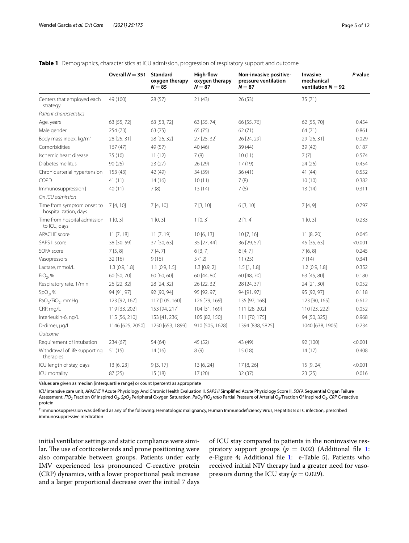|                                                     | Overall $N = 351$ | Standard<br>oxygen therapy<br>$N = 85$ | High-flow<br>oxygen therapy<br>$N = 87$ | Non-invasive positive-<br>pressure ventilation<br>$N = 87$ | <b>Invasive</b><br>mechanical<br>ventilation $N = 92$ | P value |
|-----------------------------------------------------|-------------------|----------------------------------------|-----------------------------------------|------------------------------------------------------------|-------------------------------------------------------|---------|
| Centers that employed each<br>strategy              | 49 (100)          | 28 (57)                                | 21(43)                                  | 26 (53)                                                    | 35 (71)                                               |         |
| Patient characteristics                             |                   |                                        |                                         |                                                            |                                                       |         |
| Age, years                                          | 63 [55, 72]       | 63 [53, 72]                            | 63 [55, 74]                             | 66 [55, 76]                                                | 62 [55, 70]                                           | 0.454   |
| Male gender                                         | 254 (73)          | 63 (75)                                | 65 (75)                                 | 62(71)                                                     | 64 (71)                                               | 0.861   |
| Body mass index, kg/m <sup>2</sup>                  | 28 [25, 31]       | 28 [26, 32]                            | 27 [25, 32]                             | 26 [24, 29]                                                | 29 [26, 31]                                           | 0.029   |
| Comorbidities                                       | 167(47)           | 49 (57)                                | 40 (46)                                 | 39 (44)                                                    | 39 (42)                                               | 0.187   |
| Ischemic heart disease                              | 35 (10)           | 11(12)                                 | 7(8)                                    | 10(11)                                                     | 7(7)                                                  | 0.574   |
| Diabetes mellitus                                   | 90(25)            | 23(27)                                 | 26(29)                                  | 17(19)                                                     | 24 (26)                                               | 0.454   |
| Chronic arterial hypertension                       | 153(43)           | 42 (49)                                | 34 (39)                                 | 36(41)                                                     | 41 (44)                                               | 0.552   |
| COPD                                                | 41(11)            | 14(16)                                 | 10(11)                                  | 7(8)                                                       | 10(10)                                                | 0.382   |
| Immunosuppression†<br>On ICU admission              | 40 (11)           | 7(8)                                   | 13(14)                                  | 7(8)                                                       | 13(14)                                                | 0.311   |
| Time from symptom onset to<br>hospitalization, days | 7[4, 10]          | 7[4, 10]                               | 7[3, 10]                                | 6[3, 10]                                                   | 7[4, 9]                                               | 0.797   |
| Time from hospital admission<br>to ICU, days        | $1$ [0, 3]        | 1[0,3]                                 | 1[0,3]                                  | 2[1,4]                                                     | 1[0,3]                                                | 0.233   |
| <b>APACHE</b> score                                 | 11 [7, 18]        | 11 [7, 19]                             | 10[6, 13]                               | 10[7, 16]                                                  | 11 [8, 20]                                            | 0.045   |
| SAPS II score                                       | 38 [30, 59]       | 37 [30, 63]                            | 35 [27, 44]                             | 36 [29, 57]                                                | 45 [35, 63]                                           | < 0.001 |
| SOFA score                                          | 7[5, 8]           | 7[4, 7]                                | 6[3, 7]                                 | 6[4, 7]                                                    | 7[6, 8]                                               | 0.245   |
| Vasopressors                                        | 32(16)            | 9(15)                                  | 5(12)                                   | 11(25)                                                     | 7(14)                                                 | 0.341   |
| Lactate, mmol/L                                     | $1.3$ [0.9, 1.8]  | $1.1$ [0.9, 1.5]                       | $1.3$ [0.9, 2]                          | $1.5$ [1, 1.8]                                             | $1.2$ [0.9, 1.8]                                      | 0.352   |
| $FiO2$ , %                                          | 60 [50, 70]       | 60 [60, 60]                            | 60 [44, 80]                             | 60 [48, 70]                                                | 63 [45, 80]                                           | 0.180   |
| Respiratory rate, 1/min                             | 26 [22, 32]       | 28 [24, 32]                            | 26 [22, 32]                             | 28 [24, 37]                                                | 24 [21, 30]                                           | 0.052   |
| SpO <sub>2</sub> , %                                | 94 [91, 97]       | 92 [90, 94]                            | 95 [92, 97]                             | 94 [91, 97]                                                | 95 [92, 97]                                           | 0.118   |
| PaO <sub>2</sub> /FiO <sub>2</sub> , mmHg           | 123 [92, 167]     | 117 [105, 160]                         | 126 [79, 169]                           | 135 [97, 168]                                              | 123 [90, 165]                                         | 0.612   |
| CRP, mg/L                                           | 119 [33, 202]     | 153 [94, 217]                          | 104 [31, 169]                           | 111 [28, 202]                                              | 110 [23, 222]                                         | 0.052   |
| Interleukin-6, ng/L                                 | 115 [56, 210]     | 153 [41, 236]                          | 105 [82, 150]                           | 111 [70, 175]                                              | 94 [50, 325]                                          | 0.968   |
| D-dimer, µg/L                                       | 1146 [625, 2050]  | 1250 [653, 1899]                       | 910 [505, 1628]                         | 1394 [838, 5825]                                           | 1040 [638, 1905]                                      | 0.234   |
| Outcome                                             |                   |                                        |                                         |                                                            |                                                       |         |
| Requirement of intubation                           | 234 (67)          | 54 (64)                                | 45 (52)                                 | 43 (49)                                                    | 92 (100)                                              | < 0.001 |
| Withdrawal of life supporting<br>therapies          | 51(15)            | 14(16)                                 | 8(9)                                    | 15(18)                                                     | 14(17)                                                | 0.408   |
| ICU length of stay, days                            | 13 [6, 23]        | 9[3, 17]                               | 13 [6, 24]                              | 17 [8, 26]                                                 | 15 [9, 24]                                            | < 0.001 |
| ICU mortality                                       | 87 (25)           | 15(18)                                 | 17(20)                                  | 32 (37)                                                    | 23(25)                                                | 0.016   |

# <span id="page-4-0"></span>**Table 1** Demographics, characteristics at ICU admission, progression of respiratory support and outcome

Values are given as median [interquartile range] or count (percent) as appropriate

*ICU* intensive care unit, *APACHE II* Acute Physiology And Chronic Health Evaluation II, *SAPS II* Simplifed Acute Physiology Score II, *SOFA* Sequential Organ Failure Assessment, *FiO2* Fraction Of Inspired O2, *SpO2* Peripheral Oxygen Saturation, *PaO2/FiO2 ratio* Partial Pressure of Arterial O2/Fraction Of Inspired O2, *CRP* C-reactive protein

† Immunosuppression was defned as any of the following: Hematologic malignancy, Human Immunodefciency Virus, Hepatitis B or C infection, prescribed immunosuppressive medication

initial ventilator settings and static compliance were similar. The use of corticosteroids and prone positioning were also comparable between groups. Patients under early IMV experienced less pronounced C-reactive protein (CRP) dynamics, with a lower proportional peak increase and a larger proportional decrease over the initial 7 days of ICU stay compared to patients in the noninvasive respiratory support groups ( $p = 0.02$ ) (Additional file [1](#page-9-0): e-Figure 4; Additional fle [1](#page-9-0): e-Table 5). Patients who received initial NIV therapy had a greater need for vasopressors during the ICU stay ( $p = 0.029$ ).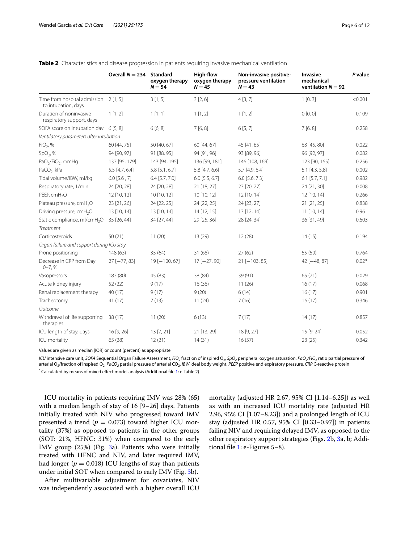|                                                              | Overall $N = 234$ | Standard<br>oxygen therapy<br>$N = 54$ | High-flow<br>oxygen therapy<br>$N = 45$ | Non-invasive positive-<br>pressure ventilation<br>$N = 43$ | Invasive<br>mechanical<br>ventilation $N = 92$ | P value |
|--------------------------------------------------------------|-------------------|----------------------------------------|-----------------------------------------|------------------------------------------------------------|------------------------------------------------|---------|
| Time from hospital admission 2 [1, 5]<br>to intubation, days |                   | 3[1, 5]                                | 3[2,6]                                  | 4[3, 7]                                                    | 1[0,3]                                         | < 0.001 |
| Duration of noninvasive<br>respiratory support, days         | 1[1,2]            | 1[1,1]                                 | 1[1,2]                                  | 1[1,2]                                                     | 0[0, 0]                                        | 0.109   |
| SOFA score on intubation day                                 | 6[5, 8]           | 6[6, 8]                                | 7[6, 8]                                 | 6[5, 7]                                                    | 7[6, 8]                                        | 0.258   |
| Ventilatory parameters after intubation                      |                   |                                        |                                         |                                                            |                                                |         |
| $FiO2$ , %                                                   | 60 [44, 75]       | 50 [40, 67]                            | 60 [44, 67]                             | 45 [41, 65]                                                | 63 [45, 80]                                    | 0.022   |
| SpO <sub>2</sub> , %                                         | 94 [90, 97]       | 91 [88, 95]                            | 94 [91, 96]                             | 93 [89, 96]                                                | 96 [92, 97]                                    | 0.082   |
| PaO <sub>2</sub> /FiO <sub>2</sub> , mmHg                    | 137 [95, 179]     | 143 [94, 195]                          | 136 [99, 181]                           | 146 [108, 169]                                             | 123 [90, 165]                                  | 0.256   |
| PaCO <sub>2</sub> , kPa                                      | 5.5 [4.7, 6.4]    | 5.8 [5.1, 6.7]                         | 5.8 [4.7, 6.6]                          | $5.7$ [4.9, 6.4]                                           | $5.1$ [4.3, 5.8]                               | 0.002   |
| Tidal volume/IBW, ml/kg                                      | $6.0$ [5.6, 7]    | $6.4$ [5.7, 7.0]                       | $6.0$ [5.5, 6.7]                        | $6.0$ [5.6, 7.3]                                           | $6.1$ [5.7, 7.1]                               | 0.982   |
| Respiratory rate, 1/min                                      | 24 [20, 28]       | 24 [20, 28]                            | 21 [18, 27]                             | 23 [20.27]                                                 | 24 [21, 30]                                    | 0.008   |
| PEEP, cmH <sub>2</sub> O                                     | 12 [10, 12]       | 10 [10, 12]                            | 10 [10, 12]                             | 12 [10, 14]                                                | 12 [10, 14]                                    | 0.266   |
| Plateau pressure, cmH <sub>2</sub> O                         | 23 [21, 26]       | 24 [22, 25]                            | 24 [22, 25]                             | 24 [23, 27]                                                | 21 [21, 25]                                    | 0.838   |
| Driving pressure, cmH <sub>2</sub> O                         | 13 [10, 14]       | 13 [10, 14]                            | 14 [12, 15]                             | 13 [12, 14]                                                | 11 [10, 14]                                    | 0.96    |
| Static compliance, ml/cmH <sub>2</sub> O                     | 35 [26, 44]       | 34 [27, 44]                            | 29 [25, 36]                             | 28 [24, 34]                                                | 36 [31, 49]                                    | 0.603   |
| Treatment                                                    |                   |                                        |                                         |                                                            |                                                |         |
| Corticosteroids                                              | 50(21)            | 11(20)                                 | 13(29)                                  | 12(28)                                                     | 14(15)                                         | 0.194   |
| Organ failure and support during ICU stay                    |                   |                                        |                                         |                                                            |                                                |         |
| Prone positioning                                            | 148(63)           | 35(64)                                 | 31 (68)                                 | 27(62)                                                     | 55 (59)                                        | 0.764   |
| Decrease in CRP from Day<br>$0 - 7, %$                       | $27[-77, 83]$     | $19[-100, 67]$                         | $17[-27, 90]$                           | $21[-103, 85]$                                             | $42$ [ $-48, 87$ ]                             | $0.02*$ |
| Vasopressors                                                 | 187 (80)          | 45 (83)                                | 38 (84)                                 | 39 (91)                                                    | 65 (71)                                        | 0.029   |
| Acute kidney injury                                          | 52(22)            | 9(17)                                  | 16(36)                                  | 11(26)                                                     | 16(17)                                         | 0.068   |
| Renal replacement therapy                                    | 40 (17)           | 9(17)                                  | 9(20)                                   | 6(14)                                                      | 16(17)                                         | 0.901   |
| Tracheotomy                                                  | 41 (17)           | 7(13)                                  | 11(24)                                  | 7(16)                                                      | 16(17)                                         | 0.346   |
| Outcome                                                      |                   |                                        |                                         |                                                            |                                                |         |
| Withdrawal of life supporting<br>therapies                   | 38(17)            | 11(20)                                 | 6(13)                                   | 7(17)                                                      | 14(17)                                         | 0.857   |
| ICU length of stay, days                                     | 16 [9, 26]        | 13 [7, 21]                             | 21 [13, 29]                             | 18 [9, 27]                                                 | 15 [9, 24]                                     | 0.052   |
| ICU mortality                                                | 65 (28)           | 12(21)                                 | 14(31)                                  | 16(37)                                                     | 23(25)                                         | 0.342   |

#### <span id="page-5-0"></span>**Table 2** Characteristics and disease progression in patients requiring invasive mechanical ventilation

Values are given as median [IQR] or count (percent) as appropriate

*ICU* intensive care unit, *SOFA* Sequential Organ Failure Assessment, *FiO<sub>2</sub>* fraction of inspired O<sub>2</sub>, SpO<sub>2</sub> peripheral oxygen saturation, *PaO<sub>2</sub>/FiO<sub>2</sub>* ratio partial pressure of arterial O<sub>2</sub>/fraction of inspired O<sub>2</sub>, *PaCO<sub>2</sub>* partial pressure of arterial CO<sub>2</sub>, *IBW* ideal body weight, *PEEP* positive end expiratory pressure, *CRP* C-reactive protein \* Calculated by means of mixed efect model analysis (Additional fle [1](#page-9-0): e-Table 2)

ICU mortality in patients requiring IMV was 28% (65) with a median length of stay of 16 [9–26] days. Patients initially treated with NIV who progressed toward IMV presented a trend ( $p = 0.073$ ) toward higher ICU mortality (37%) as opposed to patients in the other groups (SOT: 21%, HFNC: 31%) when compared to the early IMV group (25%) (Fig. [3](#page-7-0)a). Patients who were initially treated with HFNC and NIV, and later required IMV, had longer ( $p = 0.018$ ) ICU lengths of stay than patients under initial SOT when compared to early IMV (Fig. [3](#page-7-0)b).

After multivariable adjustment for covariates, NIV was independently associated with a higher overall ICU mortality (adjusted HR 2.67, 95% CI [1.14–6.25]) as well as with an increased ICU mortality rate (adjusted HR 2.96, 95% CI [1.07–8.23]) and a prolonged length of ICU stay (adjusted HR 0.57, 95% CI [0.33–0.97]) in patients failing NIV and requiring delayed IMV, as opposed to the other respiratory support strategies (Figs. [2](#page-6-0)b, [3a](#page-7-0), b; Additional fle [1](#page-9-0): e-Figures 5–8).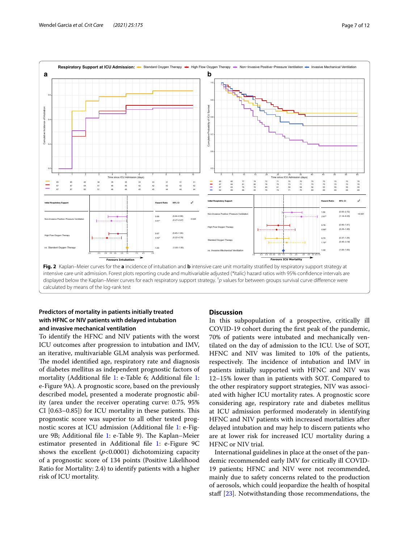



# <span id="page-6-0"></span>**Predictors of mortality in patients initially treated with HFNC or NIV patients with delayed intubation and invasive mechanical ventilation**

To identify the HFNC and NIV patients with the worst ICU outcomes after progression to intubation and IMV, an iterative, multivariable GLM analysis was performed. The model identified age, respiratory rate and diagnosis of diabetes mellitus as independent prognostic factors of mortality (Additional file [1:](#page-9-0) e-Table 6; Additional file [1](#page-9-0): e-Figure 9A). A prognostic score, based on the previously described model, presented a moderate prognostic ability (area under the receiver operating curve: 0.75, 95% CI  $[0.63-0.85]$  for ICU mortality in these patients. This prognostic score was superior to all other tested prognostic scores at ICU admission (Additional fle [1](#page-9-0): e-Fig-ure 9B; Additional file [1:](#page-9-0) e-Table 9). The Kaplan–Meier estimator presented in Additional fle [1:](#page-9-0) e-Figure 9C shows the excellent  $(p<0.0001)$  dichotomizing capacity of a prognostic score of 134 points (Positive Likelihood Ratio for Mortality: 2.4) to identify patients with a higher risk of ICU mortality.

# **Discussion**

In this subpopulation of a prospective, critically ill COVID-19 cohort during the frst peak of the pandemic, 70% of patients were intubated and mechanically ventilated on the day of admission to the ICU. Use of SOT, HFNC and NIV was limited to 10% of the patients, respectively. The incidence of intubation and IMV in patients initially supported with HFNC and NIV was 12–15% lower than in patients with SOT. Compared to the other respiratory support strategies, NIV was associated with higher ICU mortality rates. A prognostic score considering age, respiratory rate and diabetes mellitus at ICU admission performed moderately in identifying HFNC and NIV patients with increased mortalities after delayed intubation and may help to discern patients who are at lower risk for increased ICU mortality during a HFNC or NIV trial.

International guidelines in place at the onset of the pandemic recommended early IMV for critically ill COVID-19 patients; HFNC and NIV were not recommended, mainly due to safety concerns related to the production of aerosols, which could jeopardize the health of hospital staff  $[23]$  $[23]$  $[23]$ . Notwithstanding those recommendations, the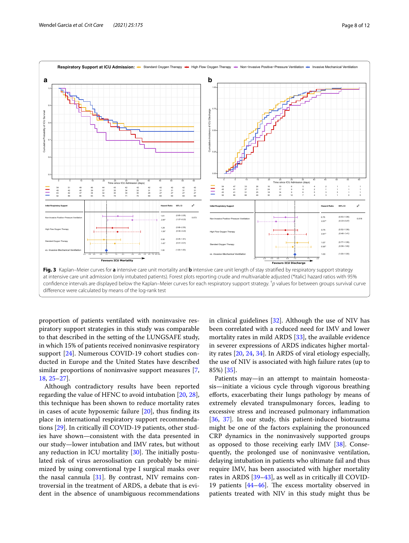

<span id="page-7-0"></span>proportion of patients ventilated with noninvasive respiratory support strategies in this study was comparable to that described in the setting of the LUNGSAFE study, in which 15% of patients received noninvasive respiratory support [\[24](#page-10-17)]. Numerous COVID-19 cohort studies conducted in Europe and the United States have described similar proportions of noninvasive support measures [\[7](#page-10-6), [18,](#page-10-11) [25–](#page-10-18)[27\]](#page-10-19).

Although contradictory results have been reported regarding the value of HFNC to avoid intubation [[20,](#page-10-13) [28](#page-11-0)], this technique has been shown to reduce mortality rates in cases of acute hypoxemic failure [\[20](#page-10-13)], thus fnding its place in international respiratory support recommendations [[29](#page-11-1)]. In critically ill COVID-19 patients, other studies have shown—consistent with the data presented in our study—lower intubation and IMV rates, but without any reduction in ICU mortality  $[30]$  $[30]$ . The initially postulated risk of virus aerosolisation can probably be minimized by using conventional type I surgical masks over the nasal cannula  $[31]$  $[31]$ . By contrast, NIV remains controversial in the treatment of ARDS, a debate that is evident in the absence of unambiguous recommendations in clinical guidelines [\[32\]](#page-11-4). Although the use of NIV has been correlated with a reduced need for IMV and lower mortality rates in mild ARDS [\[33\]](#page-11-5), the available evidence in severer expressions of ARDS indicates higher mortality rates [\[20](#page-10-13), [24,](#page-10-17) [34\]](#page-11-6). In ARDS of viral etiology especially, the use of NIV is associated with high failure rates (up to 85%) [\[35\]](#page-11-7).

Patients may—in an attempt to maintain homeostasis—initiate a vicious cycle through vigorous breathing efforts, exacerbating their lungs pathology by means of extremely elevated transpulmonary forces, leading to excessive stress and increased pulmonary infammation [[36,](#page-11-8) [37\]](#page-11-9). In our study, this patient-induced biotrauma might be one of the factors explaining the pronounced CRP dynamics in the noninvasively supported groups as opposed to those receiving early IMV  $[38]$  $[38]$  $[38]$ . Consequently, the prolonged use of noninvasive ventilation, delaying intubation in patients who ultimate fail and thus require IMV, has been associated with higher mortality rates in ARDS [\[39–](#page-11-11)[43\]](#page-11-12), as well as in critically ill COVID-19 patients  $[44-46]$  $[44-46]$  $[44-46]$ . The excess mortality observed in patients treated with NIV in this study might thus be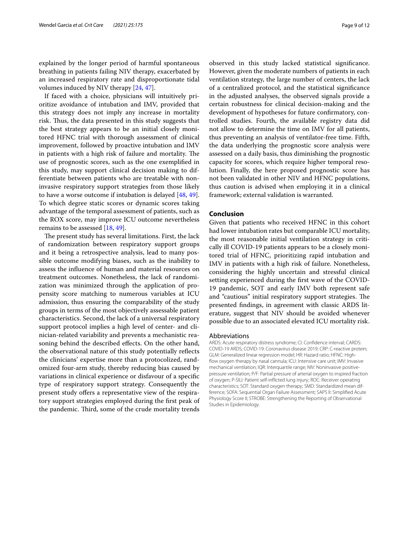explained by the longer period of harmful spontaneous breathing in patients failing NIV therapy, exacerbated by an increased respiratory rate and disproportionate tidal volumes induced by NIV therapy [[24,](#page-10-17) [47](#page-11-15)].

If faced with a choice, physicians will intuitively prioritize avoidance of intubation and IMV, provided that this strategy does not imply any increase in mortality risk. Thus, the data presented in this study suggests that the best strategy appears to be an initial closely monitored HFNC trial with thorough assessment of clinical improvement, followed by proactive intubation and IMV in patients with a high risk of failure and mortality. The use of prognostic scores, such as the one exemplifed in this study, may support clinical decision making to differentiate between patients who are treatable with noninvasive respiratory support strategies from those likely to have a worse outcome if intubation is delayed [[48](#page-11-16), [49](#page-11-17)]. To which degree static scores or dynamic scores taking advantage of the temporal assessment of patients, such as the ROX score, may improve ICU outcome nevertheless remains to be assessed [\[18](#page-10-11), [49](#page-11-17)].

The present study has several limitations. First, the lack of randomization between respiratory support groups and it being a retrospective analysis, lead to many possible outcome modifying biases, such as the inability to assess the infuence of human and material resources on treatment outcomes. Nonetheless, the lack of randomization was minimized through the application of propensity score matching to numerous variables at ICU admission, thus ensuring the comparability of the study groups in terms of the most objectively assessable patient characteristics. Second, the lack of a universal respiratory support protocol implies a high level of center- and clinician-related variability and prevents a mechanistic reasoning behind the described effects. On the other hand, the observational nature of this study potentially refects the clinicians' expertise more than a protocolized, randomized four-arm study, thereby reducing bias caused by variations in clinical experience or disfavour of a specifc type of respiratory support strategy. Consequently the present study offers a representative view of the respiratory support strategies employed during the frst peak of the pandemic. Third, some of the crude mortality trends

observed in this study lacked statistical signifcance. However, given the moderate numbers of patients in each ventilation strategy, the large number of centers, the lack of a centralized protocol, and the statistical signifcance in the adjusted analyses, the observed signals provide a certain robustness for clinical decision-making and the development of hypotheses for future confrmatory, controlled studies. Fourth, the available registry data did not allow to determine the time on IMV for all patients, thus preventing an analysis of ventilator-free time. Fifth, the data underlying the prognostic score analysis were assessed on a daily basis, thus diminishing the prognostic capacity for scores, which require higher temporal resolution. Finally, the here proposed prognostic score has not been validated in other NIV and HFNC populations, thus caution is advised when employing it in a clinical framework; external validation is warranted.

# **Conclusion**

Given that patients who received HFNC in this cohort had lower intubation rates but comparable ICU mortality, the most reasonable initial ventilation strategy in critically ill COVID-19 patients appears to be a closely monitored trial of HFNC, prioritizing rapid intubation and IMV in patients with a high risk of failure. Nonetheless, considering the highly uncertain and stressful clinical setting experienced during the frst wave of the COVID-19 pandemic, SOT and early IMV both represent safe and "cautious" initial respiratory support strategies. The presented fndings, in agreement with classic ARDS literature, suggest that NIV should be avoided whenever possible due to an associated elevated ICU mortality risk.

#### Abbreviations

ARDS: Acute respiratory distress syndrome; CI: Confdence interval; CARDS: COVID-19 ARDS; COVID-19: Coronavirus disease 2019; CRP: C-reactive protein; GLM: Generalized linear regression model; HR: Hazard ratio; HFNC: Highfow oxygen therapy by nasal cannula; ICU: Intensive care unit; IMV: Invasive mechanical ventilation; IQR: Interquartile range; NIV: Noninvasive positivepressure ventilation; P/F: Partial pressure of arterial oxygen to inspired fraction of oxygen; P-SILI: Patient self-inficted lung injury; ROC: Receiver operating characteristics; SOT: Standard oxygen therapy; SMD: Standardized mean difference; SOFA: Sequential Organ Failure Assessment; SAPS II: Simplifed Acute Physiology Score II; STROBE: Strengthening the Reporting of Observational Studies in Epidemiology.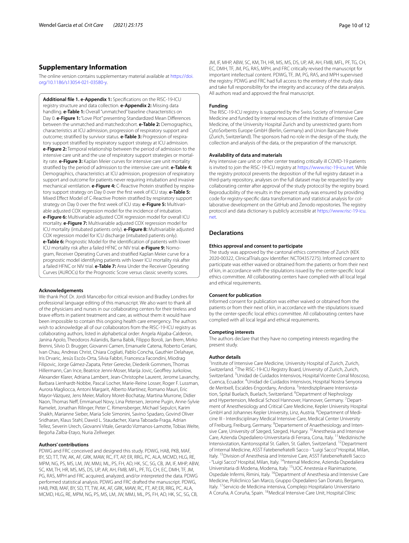# **Supplementary Information**

The online version contains supplementary material available at [https://doi.](https://doi.org/10.1186/s13054-021-03580-y) [org/10.1186/s13054-021-03580-y.](https://doi.org/10.1186/s13054-021-03580-y)

<span id="page-9-0"></span>**Additional fle 1. e-Appendix 1:** Specifcations on the RISC-19-ICU registry structure and data collection. **e-Appendix 2:** Missing data handling. **e-Table 1:** Overall "unmatched" baseline characteristics on Day 0. **e-Figure 1:** "Love Plot" presenting Standardized Mean Differences between the unmatched and matchedcohort. **e-Table 2:** Demographics, characteristics at ICU admission, progression of respiratory support and outcome; stratified by survivor status. **e-Table 3:** Progression of respiratory support stratifed by respiratory support strategy at ICU admission. **e-Figure 2:** Temporal relationship between the period of admission to the intensive care unit and the use of respiratory support strategies or mortality rate. **e-Figure 3:** Kaplan Meier curves for intensive care unit mortality stratifed by the period of admission to the intensive care unit. **e-Table 4:** Demographics, characteristics at ICU admission, progression of respiratory support and outcome for patients never requiring intubation and invasive mechanical ventilation. **e-Figure 4:** C-Reactive Protein stratified by respiratory support strategy on Day 0 over the frst week of ICU stay. **e-Table 5:** Mixed Efect Model of C-Reactive Protein stratifed by respiratory support strategy on Day 0 over the first week of ICU stay. **e-Figure 5:** Multivariable adjusted COX regression model for the incidence of intubation. **e-Figure 6:** Multivariable adjusted COX regression model for overall ICU mortality. **e-Figure 7:** Multivariable adjusted COX regression model for ICU mortality (intubated patients only). **e-Figure 8:** Multivariable adjusted COX regression model for ICU discharge (intubated patients only). **e-Table 6:** Prognostic Model for the identifcation of patients with lower ICU mortality risk after a failed HFNC or NIV trial. **e-Figure 9:** Nomogram, Receiver Operating Curves and stratifed Kaplan Meier curve for a prognostic model identifying patients with lower ICU mortality risk after a failed HFNC or NIV trial. **e-Table 7:** Area Under the Receiver Operating Curves (AUROCs) for the Prognostic Score versus classic severity scores.

#### **Acknowledgements**

We thank Prof. Dr. Jordi Mancebo for critical revision and Bradley Londres for professional language editing of this manuscript. We also want to thank all of the physicians and nurses in our collaborating centers for their tireless and brave eforts in patient treatment and care, as without them it would have been impossible to contain this ongoing health care emergency. The authors wish to acknowledge all of our collaborators from the RISC-19-ICU registry as collaborating authors, listed in alphabetical order: Angela Algaba-Calderon, Janina Apolo, Theodoros Aslanidis, Barna Babik, Filippo Boroli, Jan Brem, Mirko Brenni, Silvio D. Brugger, Giovanni Camen, Emanuele Catena, Roberto Ceriani, Ivan Chau, Andreas Christ, Chiara Cogliati, Pablo Concha, Gauthier Delahaye, Iris Drvaric, Jesús Escós-Orta, Silvia Fabbri, Francesca Facondini, Miodrag Filipovic, Jorge Gámez-Zapata, Peter Gerecke, Diederik Gommers, Thomas Hillermann, Can Ince, Beatrice Jenni-Moser, Marija Jovic, Geofrey Jurkolow, Alexander Klarer, Adriana Lambert, Jean-Christophe Laurent, Jerome Lavanchy, Barbara Lienhardt-Nobbe, Pascal Locher, Marie-Reine Losser, Roger F. Lussman, Aurora Magliocca, Antoni Margarit, Alberto Martínez, Romano Mauri, Eric Mayor-Vázquez, Jens Meier, Mallory Moret-Bochatay, Martina Murrone, Didier Naon, Thomas Nef, Emmanuel Novy, Lina Petersen, Jerome Pugin, Anne-Sylvie Ramelet, Jonathan Rilinger, Peter C. Rimensberger, Michael Sepulcri, Karim Shaikh, Marianne Sieber, Maria Sole Simonini, Savino Spadaro, Govind Oliver Sridharan, Klaus Stahl, Dawid L. Staudacher, Xiana Taboada-Fraga, Adrian Tellez, Severin Urech, Giovanni Vitale, Gerardo Vizmanos-Lamotte, Tobias Welte, Begoña Zalba-Etayo, Nuria Zellweger.

#### **Authors' contributions**

PDWG and FRC conceived and designed this study. PDWG, HAB, PKB, MAF, BY, SD, TT, TW, AK, AF, GRK, MAW, RC, FT, AP, ER, RRG, PC, ALA, MCMD, HLG, RE, MPM, NG, PS, MS, LM, JW, MMJ, ML, PS, FH, AD, HK, SC, SG, CB, JM, IF, MHP, ABW, SC, KM, TH, HR, MS, MS, DS, UP, AR, AH, FMB, MFL, PF, TG, CH, EC, DMH, TF, JM, PG, RAS, MPH and FRC acquired, analyzed, and/or interpreted the data. PDWG performed statistical analysis. PDWG and FRC drafted the manuscript. PDWG, HAB, PKB, MAF, BY, SD, TT, TW, AK, AF, GRK, MAW, RC, FT, AP, ER, RRG, PC, ALA, MCMD, HLG, RE, MPM, NG, PS, MS, LM, JW, MMJ, ML, PS, FH, AD, HK, SC, SG, CB,

JM, IF, MHP, ABW, SC, KM, TH, HR, MS, MS, DS, UP, AR, AH, FMB, MFL, PF, TG, CH, EC, DMH, TF, JM, PG, RAS, MPH, and FRC critically revised the manuscript for important intellectual content. PDWG, TF, JM, PG, RAS, and MPH supervised the registry. PDWG and FRC had full access to the entirety of the study data and take full responsibility for the integrity and accuracy of the data analysis. All authors read and approved the fnal manuscript.

#### **Funding**

The RISC-19-ICU registry is supported by the Swiss Society of Intensive Care Medicine and funded by internal resources of the Institute of Intensive Care Medicine, of the University Hospital Zurich and by unrestricted grants from CytoSorbents Europe GmbH (Berlin, Germany) and Union Bancaire Privée (Zurich, Switzerland). The sponsors had no role in the design of the study, the collection and analysis of the data, or the preparation of the manuscript.

#### **Availability of data and materials**

Any intensive care unit or other center treating critically ill COVID-19 patients is invited to join the RISC-19-ICU registry at [https://www.risc-19-icu.net.](https://www.risc-19-icu.net) While the registry protocol prevents the deposition of the full registry dataset in a third-party repository, analyses on the full dataset may be requested by any collaborating center after approval of the study protocol by the registry board. Reproducibility of the results in the present study was ensured by providing code for registry-specific data transformation and statistical analysis for collaborative development on the GitHub and Zenodo repositories. The registry protocol and data dictionary is publicly accessible at [https://www.risc-19-icu.](https://www.risc-19-icu.net) [net.](https://www.risc-19-icu.net)

#### **Declarations**

#### **Ethics approval and consent to participate**

The study was approved by the cantonal ethics committee of Zurich (KEK 2020-00322, ClinicalTrials.gov Identifer: NCT04357275). Informed consent to participate was either waived or obtained from the patients or from their next of kin, in accordance with the stipulations issued by the center-specifc local ethics committee. All collaborating centers have complied with all local legal and ethical requirements.

#### **Consent for publication**

Informed consent for publication was either waived or obtained from the patients or from their next of kin, in accordance with the stipulations issued by the center-specifc local ethics committee. All collaborating centers have complied with all local legal and ethical requirements.

#### **Competing interests**

The authors declare that they have no competing interests regarding the present study.

#### **Author details**

<sup>1</sup> Institute of Intensive Care Medicine, University Hospital of Zurich, Zurich, Switzerland. <sup>2</sup>The RISC-19-ICU Registry Board, University of Zurich, Zurich, Switzerland. <sup>3</sup>Unidad de Cuidados Intensivos, Hospital Vicente Corral Moscoso, Cuenca, Ecuador. 4 Unidad de Cuidados Intensivos, Hospital Nostra Senyora de Meritxell, Escaldes-Engordany, Andorra. <sup>5</sup>Interdisziplinaere Intensivstation, Spital Buelach, Buelach, Switzerland. <sup>6</sup> Department of Nephrology and Hypertension, Medical School Hannover, Hannover, Germany. <sup>7</sup> Department of Anesthesiology and Critical Care Medicine, Kepler University Hospital GmbH and Johannes Kepler University, Linz, Austria. <sup>8</sup>Department of Medicine III ‑ Interdisciplinary Medical Intensive Care, Medical Center University of Freiburg, Freiburg, Germany. <sup>9</sup> Departement of Anaethesiology and Intensive Care, University of Szeged, Szeged, Hungary. <sup>10</sup>Anesthesia and Intensive Care, Azienda Ospedaliero-Universitaria di Ferrara, Cona, Italy. 11Medizinische Intensivstation, Kantonsspital St. Gallen, St. Gallen, Switzerland. <sup>12</sup>Department of Internal Medicine, ASST Fatebenefratelli Sacco - "Luigi Sacco" Hospital, Milan, Italy. 13Division of Anesthesia and Intensive Care, ASST Fatebenefratelli Sacco - "Luigi Sacco" Hospital, Milan, Italy. 14Internal Medicine, Azienda Ospedaliera Universitaria di Modena, Modena, Italy. 15UOC Anestesia e Rianimazione, Ospedale Infermi, Rimini, Italy. <sup>16</sup>Department of Anesthesia and Intensive Care Medicine, Policlinico San Marco, Gruppo Ospedaliero San Donato, Bergamo, Italy. 17Servicio de Medicina intensiva, Complejo Hospitalario Universitario A Coruña, A Coruña, Spain. 18Medical Intensive Care Unit, Hospital Clínic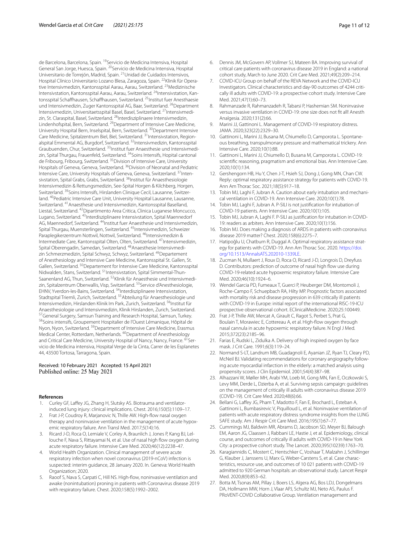de Barcelona, Barcelona, Spain. 19Servicio de Medicina Intensiva, Hospital General San Jorge, Huesca, Spain. 20Servicio de Medicina Intensiva, Hospital Universitario de Torrejón, Madrid, Spain. 21Unidad de Cuidados Intensivos, Hospital Clínico Universitario Lozano Blesa, Zaragoza, Spain. <sup>22</sup>Klinik für Operative Intensivmedizin, Kantonsspital Aarau, Aarau, Switzerland. <sup>23</sup>Medizinische Intensivistation, Kantonsspital Aarau, Aarau, Switzerland. <sup>24</sup>Intensivstation, Kan– tonsspital Schaffhausen, Schaffhausen, Switzerland. <sup>25</sup>Institut fuer Anesthaesie und Intensivmedizin, Zuger Kantonsspital AG, Baar, Switzerland. <sup>26</sup>Department Intensivmedizin, Universitaetsspital Basel, Basel, Switzerland. <sup>27</sup>Intensivmedizin, St. Claraspital, Basel, Switzerland. <sup>28</sup>Interdisziplinaere Intensivmedizin, Lindenhofspital, Bern, Switzerland. 29Department of Intensive Care Medicine, University Hospital Bern, Inselspital, Bern, Switzerland. 30Department Intensive Care Medicine, Spitalzentrum Biel, Biel, Switzerland. <sup>31</sup>Intensivstation, Regionalspital Emmental AG, Burgdorf, Switzerland. <sup>32</sup>Intensivmedizin, Kantonsspital Graubuenden, Chur, Switzerland. 33Institut fuer Anaesthesie und Intensivmedi‑ zin, Spital Thurgau, Frauenfeld, Switzerland. <sup>34</sup>Soins Intensifs, Hopital cantonal de Fribourg, Fribourg, Switzerland. 35Division of Intensive Care, University Hospitals of Geneva, Geneva, Switzerland.<sup>36</sup>Division of Neonatal and Pediatric Intensive Care, University Hospitals of Geneva, Geneva, Switzerland. <sup>37</sup>Intensivstation, Spital Grabs, Grabs, Switzerland. 38Institut für Anaesthesiologie Intensivmedizin & Rettungsmedizin, See-Spital Horgen & Kilchberg, Horgen, Switzerland. <sup>39</sup> Soins Intensifs, Hirslanden Clinique Cecil, Lausanne, Switzerland. 40Pediatric Intensive Care Unit, University Hospital Lausanne, Lausanne, Switzerland. 41Anaesthesie und Intensivmedizin, Kantonsspital Baselland, Liestal, Switzerland. 42Dipartimento Area Critica, Clinica Luganese Moncucco, Lugano, Switzerland. <sup>43</sup>Interdisziplinaere Intensivstation, Spital Maennedorf AG, Maennedorf, Switzerland. 44Institut fuer Anaesthesie und Intensivmedizin, Spital Thurgau, Muensterlingen, Switzerland. 45Intensivmedizin, Schweizer Paraplegikerzentrum Nottwil, Nottwil, Switzerland. <sup>46</sup>Intensivmedizin & Intermediate Care, Kantonsspital Olten, Olten, Switzerland. 47Intensivmedizin, Spital Oberengadin, Samedan, Switzerland. <sup>48</sup> Anaesthesie Intensivmedizin Schmerzmedizin, Spital Schwyz, Schwyz, Switzerland. 49Departement of Anesthesiology and Intensive Care Medicine, Kantonsspital St. Gallen, St. Gallen, Switzerland. <sup>50</sup>Departement for Intensive Care Medicine, Kantonsspital Nidwalden, Stans, Switzerland. 51Intensivstation, Spital Simmental-Thun-Saanenland AG, Thun, Switzerland. <sup>52</sup>Klinik für Anaesthesie und Intensivmedizin, Spitalzentrum Oberwallis, Visp, Switzerland. <sup>53</sup>Service d'Anesthesiologie, EHNV, Yverdon-les-Bains, Switzerland. <sup>54</sup>Interdisziplinaere Intensivstation, Stadtspital Triemli, Zurich, Switzerland. 55Abteilung für Anaesthesiologie und Intensivmedizin, Hirslanden Klinik Im Park, Zurich, Switzerland. <sup>56</sup>Institut für Anaesthesiologie und Intensivmedizin, Klinik Hirslanden, Zurich, Switzerland. <sup>57</sup>General Surgery, Samsun Training and Research Hospital, Samsun, Turkey.<br><sup>58</sup>Soins intensifs, Groupement Hospitalier de l'Ouest Lémanique, Hôpital de Nyon, Nyon, Switzerland. <sup>59</sup>Department of Intensive Care Medicine, Erasmus Medical Center, Rotterdam, Netherlands. <sup>60</sup>Department of Anesthesiology and Critical Care Medicine, University Hospital of Nancy, Nancy, France.<sup>6</sup> vicio de Medicina intensiva, Hospital Verge de la Cinta, Carrer de les Esplanetes 44, 43500 Tortosa, Tarragona, Spain.

#### Received: 10 February 2021 Accepted: 15 April 2021 Published online: 25 May 2021

#### **References**

- <span id="page-10-0"></span>Curley GF, Laffey JG, Zhang H, Slutsky AS. Biotrauma and ventilatorinduced lung injury: clinical implications. Chest. 2016;150(5):1109–17.
- <span id="page-10-1"></span>Frat J-P, Coudroy R, Marjanovic N, Thille AW. High-flow nasal oxygen therapy and noninvasive ventilation in the management of acute hypoxemic respiratory failure. Ann Transl Med. 2017;5(14):16.
- <span id="page-10-2"></span>3. Ricard J-D, Roca O, Lemiale V, Corley A, Braunlich J, Jones P, Kang BJ, Lellouche F, Nava S, Rittayamai N, et al. Use of nasal high flow oxygen during acute respiratory failure. Intensive Care Med. 2020;46(12):2238–47.
- <span id="page-10-3"></span>4. World Health Organization. Clinical management of severe acute respiratory infection when novel coronavirus (2019-nCoV) infection is suspected: interim guidance, 28 January 2020. In*.* Geneva: World Health Organization; 2020.
- <span id="page-10-4"></span>5. Raoof S, Nava S, Carpati C, Hill NS. High-fow, noninvasive ventilation and awake (nonintubation) proning in patients with Coronavirus disease 2019 with respiratory failure. Chest. 2020;158(5):1992–2002.
- <span id="page-10-5"></span>6. Dennis JM, McGovern AP, Vollmer SJ, Mateen BA. Improving survival of critical care patients with coronavirus disease 2019 in England: a national cohort study, March to June 2020. Crit Care Med. 2021;49(2):209–214.
- <span id="page-10-6"></span>7. COVID-ICU Group on behalf of the REVA Network and the COVID-ICU Investigators. Clinical characteristics and day-90 outcomes of 4244 critically ill adults with COVID-19: a prospective cohort study. Intensive Care Med. 2021;47(1):60–73.
- <span id="page-10-7"></span>8. Rahmanzade R, Rahmanzadeh R, Tabarsi P, Hashemian SM. Noninvasive versus invasive ventilation in COVID-19: one size does not ft all! Anesth Analgesia. 2020;131(2):66.
- <span id="page-10-8"></span>9. Marini JJ, Gattinoni L. Management of COVID-19 respiratory distress. JAMA. 2020;323(22):2329–30.
- 10. Gattinoni L, Marini JJ, Busana M, Chiumello D, Camporota L. Spontaneous breathing, transpulmonary pressure and mathematical trickery. Ann Intensive Care. 2020;10(1):88.
- 11. Gattinoni L, Marini JJ, Chiumello D, Busana M, Camporota L. COVID-19: scientifc reasoning, pragmatism and emotional bias. Ann Intensive Care. 2020;10(1):134.
- <span id="page-10-9"></span>12. Gershengorn HB, Hu Y, Chen J-T, Hsieh SJ, Dong J, Gong MN, Chan CW. Reply: optimal respiratory assistance strategy for patients with COVID-19. Ann Am Thorac Soc. 2021;18(5):917–18.
- <span id="page-10-10"></span>13. Tobin MJ, Laghi F, Jubran A. Caution about early intubation and mechanical ventilation in COVID-19. Ann Intensive Care. 2020;10(1):78.
- 14. Tobin MJ, Laghi F, Jubran A. P-SILI is not justifcation for intubation of COVID-19 patients. Ann Intensive Care. 2020;10(1):105.
- 15. Tobin MJ, Jubran A, Laghi F. P-SILI as justifcation for intubation in COVID-19: readers as arbiters. Ann Intensive Care. 2020;10(1):156.
- 16. Tobin MJ. Does making a diagnosis of ARDS in patients with coronavirus disease 2019 matter? Chest. 2020;158(6):2275–7.
- 17. Hatipoğlu U, Chatburn R, Duggal A. Optimal respiratory assistance strategy for patients with COVID-19. Ann Am Thorac Soc. 2020. [https://doi.](https://doi.org/10.1513/AnnalsATS.202010-1339LE) [org/10.1513/AnnalsATS.202010-1339LE](https://doi.org/10.1513/AnnalsATS.202010-1339LE).
- <span id="page-10-11"></span>18. Zucman N, Mullaert J, Roux D, Roca O, Ricard J-D, Longrois D, Dreyfuss D. Contributors: prediction of outcome of nasal high flow use during COVID-19-related acute hypoxemic respiratory failure. Intensive Care Med. 2020;46(10):1924–6.
- <span id="page-10-12"></span>19. Wendel Garcia PD, Fumeaux T, Guerci P, Heuberger DM, Montomoli J, Roche-Campo F, Schuepbach RA, Hilty MP. Prognostic factors associated with mortality risk and disease progression in 639 critically ill patients with COVID-19 in Europe: initial report of the international RISC-19-ICU prospective observational cohort. EClinicalMedicine. 2020;25:100449.
- <span id="page-10-13"></span>20. Frat J-P, Thille AW, Mercat A, Girault C, Ragot S, Perbet S, Prat G, Boulain T, Morawiec E, Cottereau A, et al. High-fow oxygen through nasal cannula in acute hypoxemic respiratory failure. N Engl J Med. 2015;372(23):2185–96.
- <span id="page-10-14"></span>21. Farias E, Rudski L, Zidulka A. Delivery of high inspired oxygen by face mask. J Crit Care. 1991;6(3):119–24.
- <span id="page-10-15"></span>22. Normand S-LT, Landrum MB, Guadagnoli E, Ayanian JZ, Ryan TJ, Cleary PD, McNeil BJ. Validating recommendations for coronary angiography following acute myocardial infarction in the elderly: a matched analysis using propensity scores. J Clin Epidemiol. 2001;54(4):387–98.
- <span id="page-10-16"></span>23. Alhazzani W, Møller MH, Arabi YM, Loeb M, Gong MN, Fan E, Oczkowski S, Levy MM, Derde L, Dzierba A, et al. Surviving sepsis campaign: guidelines on the management of critically ill adults with coronavirus disease 2019 (COVID-19). Crit Care Med. 2020;48(6):66.
- <span id="page-10-17"></span>24. Bellani G, Laffey JG, Pham T, Madotto F, Fan E, Brochard L, Esteban A, Gattinoni L, Bumbasirevic V, Piquilloud L, et al. Noninvasive ventilation of patients with acute respiratory distress syndrome insights from the LUNG SAFE study. Am J Respir Crit Care Med. 2016;195(1):67–77.
- <span id="page-10-18"></span>25. Cummings MJ, Baldwin MR, Abrams D, Jacobson SD, Meyer BJ, Balough EM, Aaron JG, Claassen J, Rabbani LE, Hastie J, et al. Epidemiology, clinical course, and outcomes of critically ill adults with COVID-19 in New York City: a prospective cohort study. The Lancet. 2020;395(10239):1763–70.
- 26. Karagiannidis C, Mostert C, Hentschker C, Voshaar T, Malzahn J, Schillinger G, Klauber J, Janssens U, Marx G, Weber-Carstens S, et al. Case characteristics, resource use, and outcomes of 10 021 patients with COVID-19 admitted to 920 German hospitals: an observational study. Lancet Respir Med. 2020;8(9):853–62.
- <span id="page-10-19"></span>27. Botta M, Tsonas AM, Pillay J, Boers LS, Algera AG, Bos LDJ, Dongelmans DA, Hollmann MW, Horn J, Vlaar APJ, Schultz MJ, Neto AS, Paulus F. PRoVENT-COVID Collaborative Group. Ventilation management and